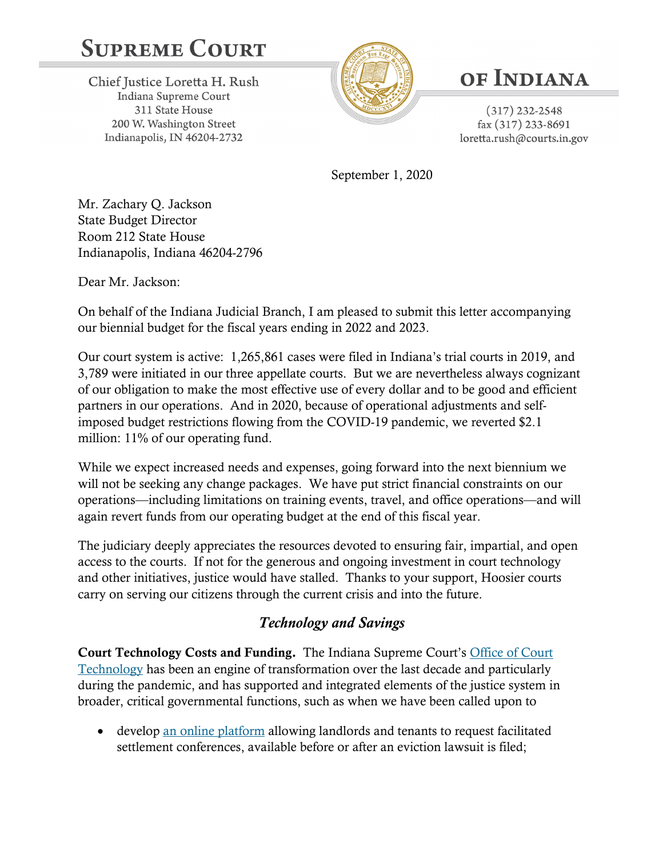# **SUPREME COURT**

Chief Justice Loretta H. Rush Indiana Supreme Court 311 State House 200 W. Washington Street Indianapolis, IN 46204-2732



# OF INDIANA

 $(317)$  232-2548 fax (317) 233-8691 loretta.rush@courts.in.gov

September 1, 2020

Mr. Zachary Q. Jackson State Budget Director Room 212 State House Indianapolis, Indiana 46204-2796

Dear Mr. Jackson:

On behalf of the Indiana Judicial Branch, I am pleased to submit this letter accompanying our biennial budget for the fiscal years ending in 2022 and 2023.

Our court system is active: 1,265,861 cases were filed in Indiana's trial courts in 2019, and 3,789 were initiated in our three appellate courts. But we are nevertheless always cognizant of our obligation to make the most effective use of every dollar and to be good and efficient partners in our operations. And in 2020, because of operational adjustments and selfimposed budget restrictions flowing from the COVID-19 pandemic, we reverted \$2.1 million: 11% of our operating fund.

While we expect increased needs and expenses, going forward into the next biennium we will not be seeking any change packages. We have put strict financial constraints on our operations—including limitations on training events, travel, and office operations—and will again revert funds from our operating budget at the end of this fiscal year.

The judiciary deeply appreciates the resources devoted to ensuring fair, impartial, and open access to the courts. If not for the generous and ongoing investment in court technology and other initiatives, justice would have stalled. Thanks to your support, Hoosier courts carry on serving our citizens through the current crisis and into the future.

## *Technology and Savings*

Court Technology Costs and Funding. The Indiana Supreme Court's [Office of Court](https://www.in.gov/judiciary/admin/3245.htm)  [Technology](https://www.in.gov/judiciary/admin/3245.htm) has been an engine of transformation over the last decade and particularly during the pandemic, and has supported and integrated elements of the justice system in broader, critical governmental functions, such as when we have been called upon to

• develop [an online platform](https://public.courts.in.gov/FTF#/) allowing landlords and tenants to request facilitated settlement conferences, available before or after an eviction lawsuit is filed;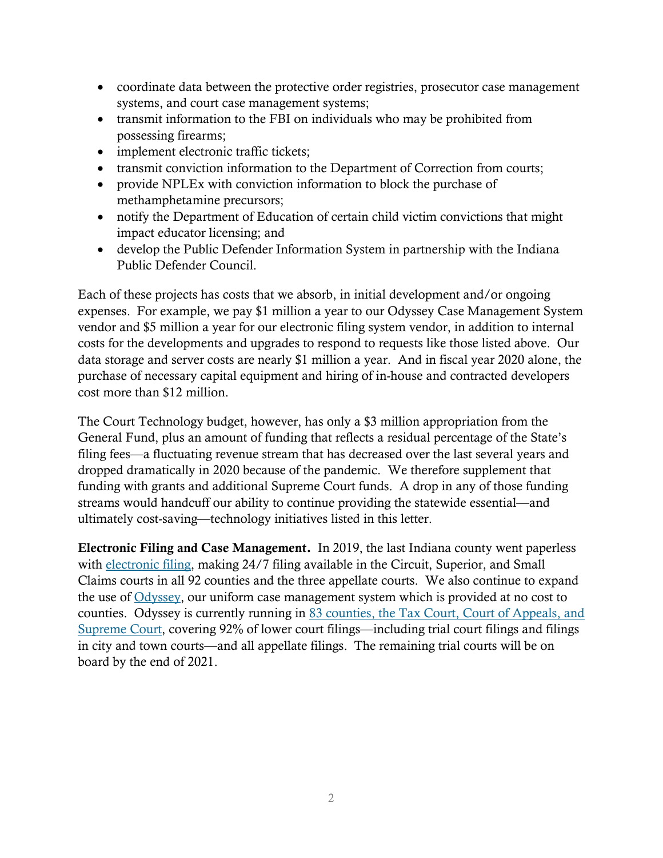- coordinate data between the protective order registries, prosecutor case management systems, and court case management systems;
- transmit information to the FBI on individuals who may be prohibited from possessing firearms;
- implement electronic traffic tickets;
- transmit conviction information to the Department of Correction from courts;
- provide NPLEx with conviction information to block the purchase of methamphetamine precursors;
- notify the Department of Education of certain child victim convictions that might impact educator licensing; and
- develop the Public Defender Information System in partnership with the Indiana Public Defender Council.

Each of these projects has costs that we absorb, in initial development and/or ongoing expenses. For example, we pay \$1 million a year to our Odyssey Case Management System vendor and \$5 million a year for our electronic filing system vendor, in addition to internal costs for the developments and upgrades to respond to requests like those listed above. Our data storage and server costs are nearly \$1 million a year. And in fiscal year 2020 alone, the purchase of necessary capital equipment and hiring of in-house and contracted developers cost more than \$12 million.

The Court Technology budget, however, has only a \$3 million appropriation from the General Fund, plus an amount of funding that reflects a residual percentage of the State's filing fees—a fluctuating revenue stream that has decreased over the last several years and dropped dramatically in 2020 because of the pandemic. We therefore supplement that funding with grants and additional Supreme Court funds. A drop in any of those funding streams would handcuff our ability to continue providing the statewide essential—and ultimately cost-saving—technology initiatives listed in this letter.

Electronic Filing and Case Management. In 2019, the last Indiana county went paperless with [electronic filing,](https://www.in.gov/judiciary/4267.htm) making 24/7 filing available in the Circuit, Superior, and Small Claims courts in all 92 counties and the three appellate courts. We also continue to expand the use of [Odyssey,](https://www.in.gov/judiciary/admin/2666.htm) our uniform case management system which is provided at no cost to counties. Odyssey is currently running in [83 counties, the Tax Court, Court of Appeals, and](https://www.in.gov/judiciary/4234.htm)  [Supreme Court,](https://www.in.gov/judiciary/4234.htm) covering 92% of lower court filings—including trial court filings and filings in city and town courts—and all appellate filings. The remaining trial courts will be on board by the end of 2021.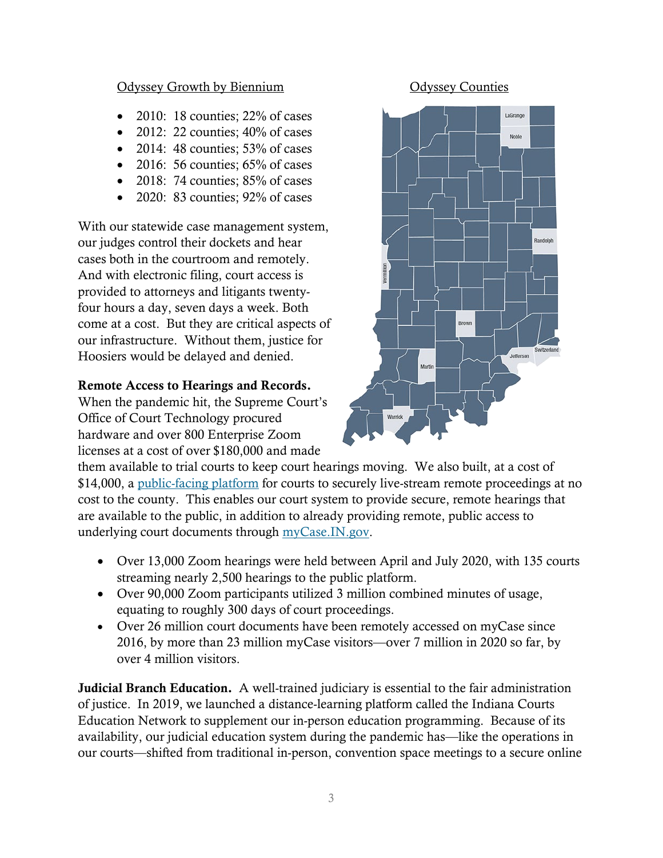### Odyssey Growth by Biennium Odyssey Counties

- 2010: 18 counties; 22% of cases
- 2012: 22 counties;  $40\%$  of cases
- 2014: 48 counties;  $53\%$  of cases
- 2016: 56 counties;  $65\%$  of cases
- 2018: 74 counties; 85% of cases
- 2020: 83 counties; 92% of cases

With our statewide case management system, our judges control their dockets and hear cases both in the courtroom and remotely. And with electronic filing, court access is provided to attorneys and litigants twentyfour hours a day, seven days a week. Both come at a cost. But they are critical aspects of our infrastructure. Without them, justice for Hoosiers would be delayed and denied.

### Remote Access to Hearings and Records.

When the pandemic hit, the Supreme Court's Office of Court Technology procured hardware and over 800 Enterprise Zoom licenses at a cost of over \$180,000 and made



them available to trial courts to keep court hearings moving. We also built, at a cost of \$14,000, a [public-facing platform](https://public.courts.in.gov/incs#/) for courts to securely live-stream remote proceedings at no cost to the county. This enables our court system to provide secure, remote hearings that are available to the public, in addition to already providing remote, public access to underlying court documents through [myCase.IN.gov.](https://public.courts.in.gov/mycase#/vw/Search)

- Over 13,000 Zoom hearings were held between April and July 2020, with 135 courts streaming nearly 2,500 hearings to the public platform.
- Over 90,000 Zoom participants utilized 3 million combined minutes of usage, equating to roughly 300 days of court proceedings.
- Over 26 million court documents have been remotely accessed on myCase since 2016, by more than 23 million myCase visitors—over 7 million in 2020 so far, by over 4 million visitors.

Judicial Branch Education. A well-trained judiciary is essential to the fair administration of justice. In 2019, we launched a distance-learning platform called the Indiana Courts Education Network to supplement our in-person education programming. Because of its availability, our judicial education system during the pandemic has—like the operations in our courts—shifted from traditional in-person, convention space meetings to a secure online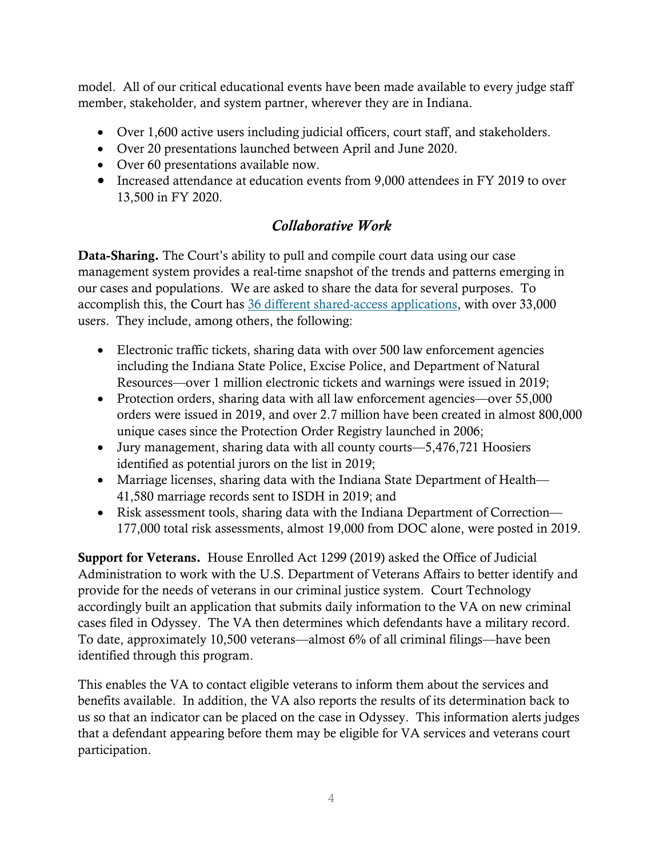model. All of our critical educational events have been made available to every judge staff member, stakeholder, and system partner, wherever they are in Indiana.

- Over 1,600 active users including judicial officers, court staff, and stakeholders.
- Over 20 presentations launched between April and June 2020.
- Over 60 presentations available now.
- Increased attendance at education events from 9,000 attendees in FY 2019 to over 13,500 in FY 2020.

### *Collaborative Work*

Data-Sharing. The Court's ability to pull and compile court data using our case management system provides a real-time snapshot of the trends and patterns emerging in our cases and populations. We are asked to share the data for several purposes. To accomplish this, the Court has [36 different shared-access applications,](https://www.in.gov/judiciary/admin/2665.htm) with over 33,000 users. They include, among others, the following:

- Electronic traffic tickets, sharing data with over 500 law enforcement agencies including the Indiana State Police, Excise Police, and Department of Natural Resources—over 1 million electronic tickets and warnings were issued in 2019;
- Protection orders, sharing data with all law enforcement agencies—over 55,000 orders were issued in 2019, and over 2.7 million have been created in almost 800,000 unique cases since the Protection Order Registry launched in 2006;
- Jury management, sharing data with all county courts—5,476,721 Hoosiers identified as potential jurors on the list in 2019;
- Marriage licenses, sharing data with the Indiana State Department of Health— 41,580 marriage records sent to ISDH in 2019; and
- Risk assessment tools, sharing data with the Indiana Department of Correction— 177,000 total risk assessments, almost 19,000 from DOC alone, were posted in 2019.

Support for Veterans. House Enrolled Act 1299 (2019) asked the Office of Judicial Administration to work with the U.S. Department of Veterans Affairs to better identify and provide for the needs of veterans in our criminal justice system. Court Technology accordingly built an application that submits daily information to the VA on new criminal cases filed in Odyssey. The VA then determines which defendants have a military record. To date, approximately 10,500 veterans—almost 6% of all criminal filings—have been identified through this program.

This enables the VA to contact eligible veterans to inform them about the services and benefits available. In addition, the VA also reports the results of its determination back to us so that an indicator can be placed on the case in Odyssey. This information alerts judges that a defendant appearing before them may be eligible for VA services and veterans court participation.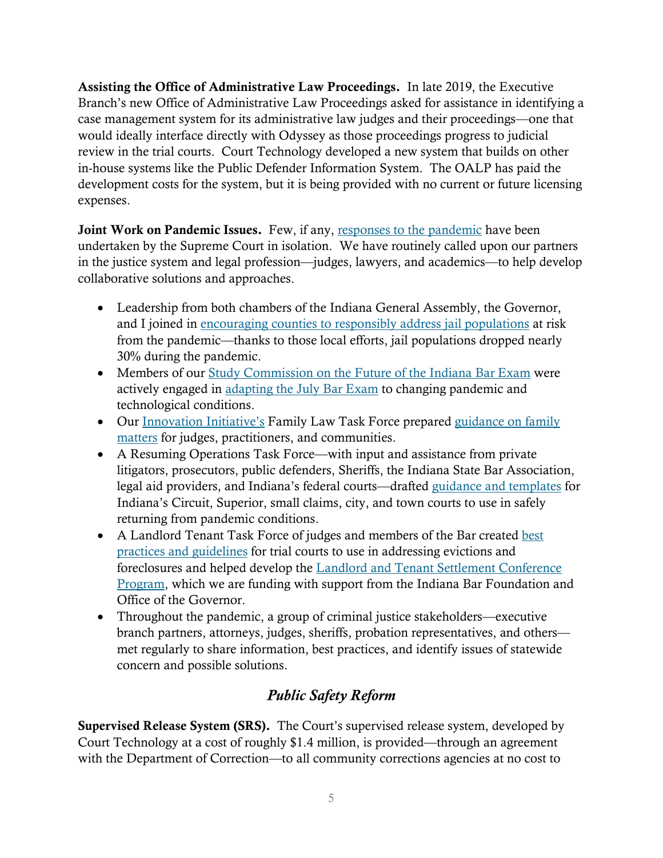Assisting the Office of Administrative Law Proceedings. In late 2019, the Executive Branch's new Office of Administrative Law Proceedings asked for assistance in identifying a case management system for its administrative law judges and their proceedings—one that would ideally interface directly with Odyssey as those proceedings progress to judicial review in the trial courts. Court Technology developed a new system that builds on other in-house systems like the Public Defender Information System. The OALP has paid the development costs for the system, but it is being provided with no current or future licensing expenses.

Joint Work on Pandemic Issues. Few, if any, [responses to the pandemic](https://www.in.gov/judiciary/5575.htm) have been undertaken by the Supreme Court in isolation. We have routinely called upon our partners in the justice system and legal profession—judges, lawyers, and academics—to help develop collaborative solutions and approaches.

- Leadership from both chambers of the Indiana General Assembly, the Governor, and I joined in encouraging counties [to responsibly address jail populations](https://www.in.gov/judiciary/files/covid19-2020-0403-release-assessment-local-effort.pdf) at risk from the pandemic—thanks to those local efforts, jail populations dropped nearly 30% during the pandemic.
- Members of our [Study Commission on the Future of the Indiana Bar Exam](https://www.in.gov/judiciary/ace/2568.htm) were actively engaged in [adapting the July Bar Exam](https://www.in.gov/judiciary/files/order-other-2020-20S-CB-300b.pdf) to changing pandemic and technological conditions.
- Our [Innovation Initiative's](https://www.in.gov/judiciary/iocs/3879.htm) Family Law Task Force prepared guidance on family [matters](https://www.in.gov/judiciary/files/covid19-2020-0601-family-law-guidance.pdf) for judges, practitioners, and communities.
- A Resuming Operations Task Force—with input and assistance from private litigators, prosecutors, public defenders, Sheriffs, the Indiana State Bar Association, legal aid providers, and Indiana's federal courts—drafted [guidance and templates](https://www.in.gov/judiciary/files/covid19-resuming-trial-court-operations.pdf) for Indiana's Circuit, Superior, small claims, city, and town courts to use in safely returning from pandemic conditions.
- A Landlord Tenant Task Force of judges and members of the Bar created best [practices and guidelines](https://www.in.gov/judiciary/5758.htm) for trial courts to use in addressing evictions and foreclosures and helped develop the [Landlord and Tenant Settlement Conference](https://www.in.gov/judiciary/selfservice/2567.htm)  [Program,](https://www.in.gov/judiciary/selfservice/2567.htm) which we are funding with support from the Indiana Bar Foundation and Office of the Governor.
- Throughout the pandemic, a group of criminal justice stakeholders—executive branch partners, attorneys, judges, sheriffs, probation representatives, and others met regularly to share information, best practices, and identify issues of statewide concern and possible solutions.

# *Public Safety Reform*

Supervised Release System (SRS). The Court's supervised release system, developed by Court Technology at a cost of roughly \$1.4 million, is provided—through an agreement with the Department of Correction—to all community corrections agencies at no cost to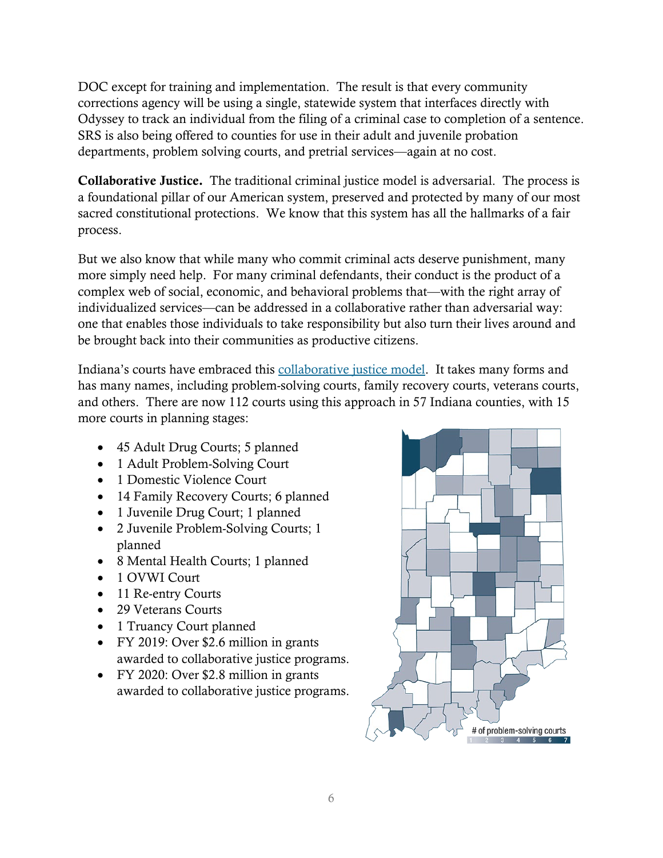DOC except for training and implementation. The result is that every community corrections agency will be using a single, statewide system that interfaces directly with Odyssey to track an individual from the filing of a criminal case to completion of a sentence. SRS is also being offered to counties for use in their adult and juvenile probation departments, problem solving courts, and pretrial services—again at no cost.

Collaborative Justice. The traditional criminal justice model is adversarial. The process is a foundational pillar of our American system, preserved and protected by many of our most sacred constitutional protections. We know that this system has all the hallmarks of a fair process.

But we also know that while many who commit criminal acts deserve punishment, many more simply need help. For many criminal defendants, their conduct is the product of a complex web of social, economic, and behavioral problems that—with the right array of individualized services—can be addressed in a collaborative rather than adversarial way: one that enables those individuals to take responsibility but also turn their lives around and be brought back into their communities as productive citizens.

Indiana's courts have embraced this [collaborative justice model.](https://www.in.gov/judiciary/pscourts/2337.htm) It takes many forms and has many names, including problem-solving courts, family recovery courts, veterans courts, and others. There are now 112 courts using this approach in 57 Indiana counties, with 15 more courts in planning stages:

- 45 Adult Drug Courts; 5 planned
- 1 Adult Problem-Solving Court
- 1 Domestic Violence Court
- 14 Family Recovery Courts; 6 planned
- 1 Juvenile Drug Court; 1 planned
- 2 Juvenile Problem-Solving Courts; 1 planned
- 8 Mental Health Courts; 1 planned
- 1 OVWI Court
- 11 Re-entry Courts
- 29 Veterans Courts
- 1 Truancy Court planned
- FY 2019: Over \$2.6 million in grants awarded to collaborative justice programs.
- FY 2020: Over \$2.8 million in grants awarded to collaborative justice programs.

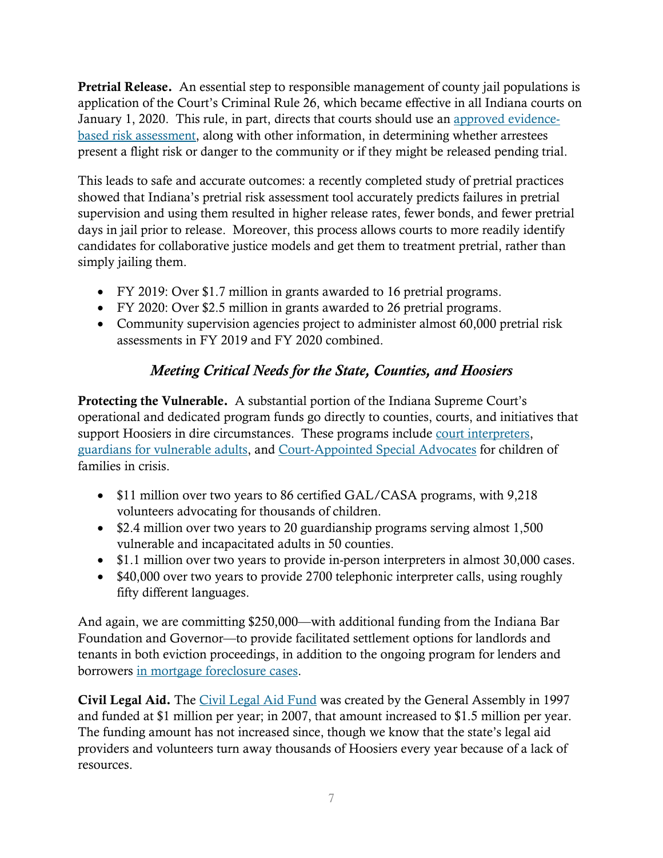Pretrial Release. An essential step to responsible management of county jail populations is application of the Court's Criminal Rule 26, which became effective in all Indiana courts on January 1, 2020. This rule, in part, directs that courts should use an [approved evidence](https://www.in.gov/judiciary/iocs/2762.htm)[based risk assessment,](https://www.in.gov/judiciary/iocs/2762.htm) along with other information, in determining whether arrestees present a flight risk or danger to the community or if they might be released pending trial.

This leads to safe and accurate outcomes: a recently completed study of pretrial practices showed that Indiana's pretrial risk assessment tool accurately predicts failures in pretrial supervision and using them resulted in higher release rates, fewer bonds, and fewer pretrial days in jail prior to release. Moreover, this process allows courts to more readily identify candidates for collaborative justice models and get them to treatment pretrial, rather than simply jailing them.

- FY 2019: Over \$1.7 million in grants awarded to 16 pretrial programs.
- FY 2020: Over \$2.5 million in grants awarded to 26 pretrial programs.
- Community supervision agencies project to administer almost 60,000 pretrial risk assessments in FY 2019 and FY 2020 combined.

## *Meeting Critical Needs for the State, Counties, and Hoosiers*

Protecting the Vulnerable. A substantial portion of the Indiana Supreme Court's operational and dedicated program funds go directly to counties, courts, and initiatives that support Hoosiers in dire circumstances. These programs include [court interpreters,](https://www.in.gov/judiciary/iocs/3432.htm) [guardians for vulnerable adults,](https://www.in.gov/judiciary/iocs/3425.htm) and [Court-Appointed Special Advocates](https://www.in.gov/judiciary/iocs/3457.htm) for children of families in crisis.

- \$11 million over two years to 86 certified GAL/CASA programs, with 9,218 volunteers advocating for thousands of children.
- \$2.4 million over two years to 20 guardianship programs serving almost 1,500 vulnerable and incapacitated adults in 50 counties.
- \$1.1 million over two years to provide in-person interpreters in almost 30,000 cases.
- \$40,000 over two years to provide 2700 telephonic interpreter calls, using roughly fifty different languages.

And again, we are committing \$250,000—with additional funding from the Indiana Bar Foundation and Governor—to provide facilitated settlement options for landlords and tenants in both eviction proceedings, in addition to the ongoing program for lenders and borrowers [in mortgage foreclosure cases.](https://www.in.gov/judiciary/iocs/3866.htm)

Civil Legal Aid. The [Civil Legal Aid Fund](https://www.in.gov/judiciary/iocs/3417.htm) was created by the General Assembly in 1997 and funded at \$1 million per year; in 2007, that amount increased to \$1.5 million per year. The funding amount has not increased since, though we know that the state's legal aid providers and volunteers turn away thousands of Hoosiers every year because of a lack of resources.